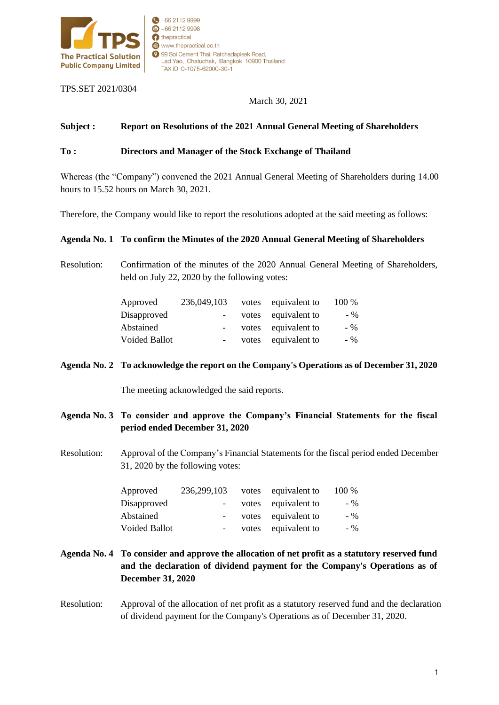

TPS.SET 2021/0304

March 30, 2021

### **Subject : Report on Resolutions of the 2021 Annual General Meeting of Shareholders**

#### **To : Directors and Manager of the Stock Exchange of Thailand**

99 Soi Cement Thai, Ratchadapisek Road,

TAX ID: 0-1075-62000-30-1

Lad Yao, Chatuchak, Bangkok 10900 Thailand

 $+6621129999$  $\bigoplus$  +66 2112 9998 thepractical

www.thepractical.co.th

Whereas (the "Company") convened the 2021 Annual General Meeting of Shareholders during 14.00 hours to 15.52 hours on March 30, 2021.

Therefore, the Company would like to report the resolutions adopted at the said meeting as follows:

#### **Agenda No. 1 To confirm the Minutes of the 2020 Annual General Meeting of Shareholders**

Resolution: Confirmation of the minutes of the 2020 Annual General Meeting of Shareholders, held on July 22, 2020 by the following votes:

| Approved             | 236,049,103              | votes | equivalent to       | 100 % |
|----------------------|--------------------------|-------|---------------------|-------|
| Disapproved          | $\overline{\phantom{a}}$ |       | votes equivalent to | $-$ % |
| Abstained            | $-$                      |       | votes equivalent to | $-96$ |
| <b>Voided Ballot</b> | $\overline{\phantom{a}}$ | votes | equivalent to       | $-96$ |

#### **Agenda No. 2 To acknowledge the report on the Company's Operations as of December 31, 2020**

The meeting acknowledged the said reports.

- **Agenda No. 3 To consider and approve the Company's Financial Statements for the fiscal period ended December 31, 2020**
- Resolution: Approval of the Company's Financial Statements for the fiscal period ended December 31, 2020 by the following votes:

| Approved      | 236,299,103 | votes equivalent to | 100 % |
|---------------|-------------|---------------------|-------|
| Disapproved   | $\sim$      | votes equivalent to | $-$ % |
| Abstained     |             | votes equivalent to | $-$ % |
| Voided Ballot |             | votes equivalent to | $-$ % |

- **Agenda No. 4 To consider and approve the allocation of net profit as a statutory reserved fund and the declaration of dividend payment for the Company's Operations as of December 31, 2020**
- Resolution: Approval of the allocation of net profit as a statutory reserved fund and the declaration of dividend payment for the Company's Operations as of December 31, 2020.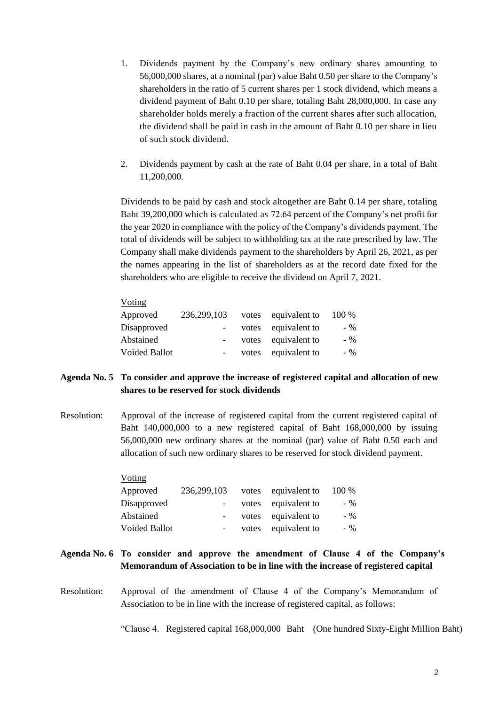- 1. Dividends payment by the Company's new ordinary shares amounting to 56,000,000 shares, at a nominal (par) value Baht 0.50 per share to the Company's shareholders in the ratio of 5 current shares per 1 stock dividend, which means a dividend payment of Baht 0.10 per share, totaling Baht 28,000,000. In case any shareholder holds merely a fraction of the current shares after such allocation, the dividend shall be paid in cash in the amount of Baht 0.10 per share in lieu of such stock dividend.
- 2. Dividends payment by cash at the rate of Baht 0.04 per share, in a total of Baht 11,200,000.

Dividends to be paid by cash and stock altogether are Baht 0.14 per share, totaling Baht 39,200,000 which is calculated as 72.64 percent of the Company's net profit for the year 2020 in compliance with the policy of the Company's dividends payment. The total of dividends will be subject to withholding tax at the rate prescribed by law. The Company shall make dividends payment to the shareholders by April 26, 2021, as per the names appearing in the list of shareholders as at the record date fixed for the shareholders who are eligible to receive the dividend on April 7, 2021.

| 236,299,103 |       | 100 %                                                                  |
|-------------|-------|------------------------------------------------------------------------|
|             | votes | $-$ %                                                                  |
|             | votes | $-$ %                                                                  |
|             | votes | $-$ %                                                                  |
|             |       | votes equivalent to<br>equivalent to<br>equivalent to<br>equivalent to |

# **Agenda No. 5 To consider and approve the increase of registered capital and allocation of new shares to be reserved for stock dividends**

Resolution: Approval of the increase of registered capital from the current registered capital of Baht 140,000,000 to a new registered capital of Baht 168,000,000 by issuing 56,000,000 new ordinary shares at the nominal (par) value of Baht 0.50 each and allocation of such new ordinary shares to be reserved for stock dividend payment.

| Voting               |                          |       |                     |       |
|----------------------|--------------------------|-------|---------------------|-------|
| Approved             | 236,299,103              |       | votes equivalent to | 100 % |
| Disapproved          | $\overline{\phantom{a}}$ |       | votes equivalent to | $-$ % |
| Abstained            | $\sim$                   |       | votes equivalent to | $-96$ |
| <b>Voided Ballot</b> | $\overline{\phantom{a}}$ | votes | equivalent to       | $-96$ |

- **Agenda No. 6 To consider and approve the amendment of Clause 4 of the Company's Memorandum of Association to be in line with the increase of registered capital**
- Resolution: Approval of the amendment of Clause 4 of the Company's Memorandum of Association to be in line with the increase of registered capital, as follows:

"Clause 4. Registered capital 168,000,000 Baht (One hundred Sixty-Eight Million Baht)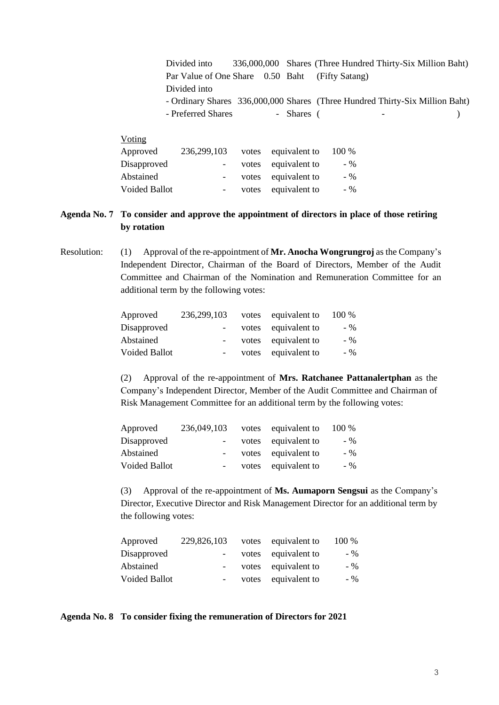| Divided into                                                                 |  |            | 336,000,000 Shares (Three Hundred Thirty-Six Million Baht) |  |
|------------------------------------------------------------------------------|--|------------|------------------------------------------------------------|--|
| Par Value of One Share 0.50 Baht (Fifty Satang)                              |  |            |                                                            |  |
| Divided into                                                                 |  |            |                                                            |  |
| - Ordinary Shares 336,000,000 Shares (Three Hundred Thirty-Six Million Baht) |  |            |                                                            |  |
| - Preferred Shares                                                           |  | - Shares ( |                                                            |  |
|                                                                              |  |            |                                                            |  |

| 236, 299, 103    |  | 100 %                                                                                    |
|------------------|--|------------------------------------------------------------------------------------------|
| $\sim$ 100 $\pm$ |  | $-$ %                                                                                    |
| $\sim$           |  | $-96$                                                                                    |
|                  |  | $-96$                                                                                    |
|                  |  | votes equivalent to<br>votes equivalent to<br>votes equivalent to<br>votes equivalent to |

Voting

# **Agenda No. 7 To consider and approve the appointment of directors in place of those retiring by rotation**

Resolution: (1) Approval of the re-appointment of **Mr. Anocha Wongrungroj** as the Company's Independent Director, Chairman of the Board of Directors, Member of the Audit Committee and Chairman of the Nomination and Remuneration Committee for an additional term by the following votes:

| Approved             | 236,299,103 | votes equivalent to | 100 % |
|----------------------|-------------|---------------------|-------|
| Disapproved          |             | votes equivalent to | $-$ % |
| Abstained            |             | votes equivalent to | $-$ % |
| <b>Voided Ballot</b> |             | votes equivalent to | $-96$ |

(2) Approval of the re-appointment of **Mrs. Ratchanee Pattanalertphan** as the Company's Independent Director, Member of the Audit Committee and Chairman of Risk Management Committee for an additional term by the following votes:

| Approved             | 236,049,103      | votes equivalent to | 100 % |
|----------------------|------------------|---------------------|-------|
| Disapproved          | $\sim$ 100 $\mu$ | votes equivalent to | $-96$ |
| Abstained            |                  | votes equivalent to | $-96$ |
| <b>Voided Ballot</b> | $\sim$ 100 $\mu$ | votes equivalent to | $-96$ |

(3) Approval of the re-appointment of **Ms. Aumaporn Sengsui** as the Company's Director, Executive Director and Risk Management Director for an additional term by the following votes:

| Approved             | 229,826,103              | votes equivalent to | 100 % |
|----------------------|--------------------------|---------------------|-------|
| Disapproved          |                          | votes equivalent to | $-96$ |
| Abstained            |                          | votes equivalent to | $-96$ |
| <b>Voided Ballot</b> | $\overline{\phantom{a}}$ | votes equivalent to | $-96$ |

**Agenda No. 8 To consider fixing the remuneration of Directors for 2021**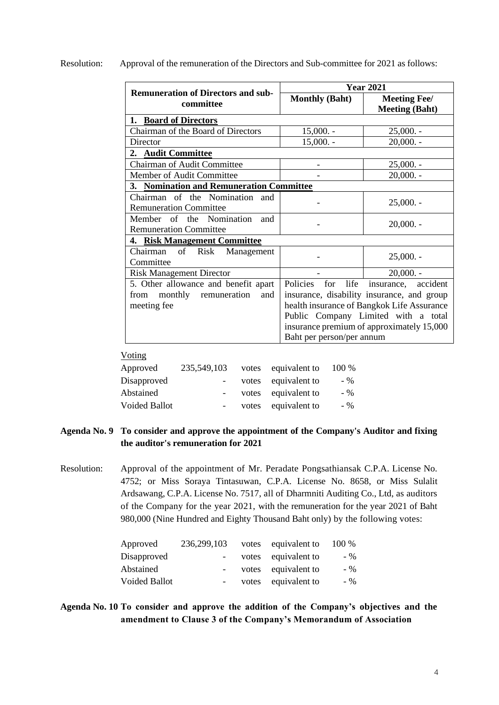Resolution: Approval of the remuneration of the Directors and Sub-committee for 2021 as follows:

| <b>Remuneration of Directors and sub-</b>                                                     | <b>Year 2021</b>                                     |                                                                                                                                                                                                     |  |  |
|-----------------------------------------------------------------------------------------------|------------------------------------------------------|-----------------------------------------------------------------------------------------------------------------------------------------------------------------------------------------------------|--|--|
| committee                                                                                     | <b>Monthly (Baht)</b>                                | <b>Meeting Fee/</b><br><b>Meeting (Baht)</b>                                                                                                                                                        |  |  |
| 1. Board of Directors                                                                         |                                                      |                                                                                                                                                                                                     |  |  |
| Chairman of the Board of Directors                                                            | $15,000. -$                                          | $25,000. -$                                                                                                                                                                                         |  |  |
| Director                                                                                      | $15,000. -$                                          | $20,000. -$                                                                                                                                                                                         |  |  |
| <b>Audit Committee</b><br>2.                                                                  |                                                      |                                                                                                                                                                                                     |  |  |
| <b>Chairman of Audit Committee</b>                                                            |                                                      | $25,000. -$                                                                                                                                                                                         |  |  |
| Member of Audit Committee                                                                     |                                                      | $20,000. -$                                                                                                                                                                                         |  |  |
| 3. Nomination and Remuneration Committee                                                      |                                                      |                                                                                                                                                                                                     |  |  |
| Chairman of the Nomination and<br><b>Remuneration Committee</b>                               |                                                      | $25,000. -$                                                                                                                                                                                         |  |  |
| Member of the Nomination<br>and<br><b>Remuneration Committee</b>                              |                                                      | $20,000. -$                                                                                                                                                                                         |  |  |
| 4. Risk Management Committee                                                                  |                                                      |                                                                                                                                                                                                     |  |  |
| of<br>Risk Management<br>Chairman<br>Committee                                                |                                                      | $25,000. -$                                                                                                                                                                                         |  |  |
| <b>Risk Management Director</b>                                                               |                                                      | $20,000. -$                                                                                                                                                                                         |  |  |
| 5. Other allowance and benefit apart<br>monthly<br>remuneration<br>from<br>and<br>meeting fee | Policies<br>for<br>life<br>Baht per person/per annum | insurance, accident<br>insurance, disability insurance, and group<br>health insurance of Bangkok Life Assurance<br>Public Company Limited with a total<br>insurance premium of approximately 15,000 |  |  |

#### Voting

| Approved             | 235,549,103 | votes equivalent to | 100 % |
|----------------------|-------------|---------------------|-------|
| Disapproved          | $\sim$      | votes equivalent to | $-96$ |
| Abstained            | $\sim$      | votes equivalent to | $-96$ |
| <b>Voided Ballot</b> |             | votes equivalent to | $-96$ |
|                      |             |                     |       |

# **Agenda No. 9 To consider and approve the appointment of the Company's Auditor and fixing the auditor's remuneration for 2021**

Resolution: Approval of the appointment of Mr. Peradate Pongsathiansak C.P.A. License No. 4752; or Miss Soraya Tintasuwan, C.P.A. License No. 8658, or Miss Sulalit Ardsawang, C.P.A. License No. 7517, all of Dharmniti Auditing Co., Ltd, as auditors of the Company for the year 2021, with the remuneration for the year 2021 of Baht 980,000 (Nine Hundred and Eighty Thousand Baht only) by the following votes:

| 236,299,103     |  | 100 %                                                                                    |
|-----------------|--|------------------------------------------------------------------------------------------|
| $\sim$ $-$      |  | $-$ %                                                                                    |
| $\sim$          |  | $-$ %                                                                                    |
| $\sim$ 10 $\pm$ |  | $-$ %                                                                                    |
|                 |  | votes equivalent to<br>votes equivalent to<br>votes equivalent to<br>votes equivalent to |

# **Agenda No. 10 To consider and approve the addition of the Company's objectives and the amendment to Clause 3 of the Company's Memorandum of Association**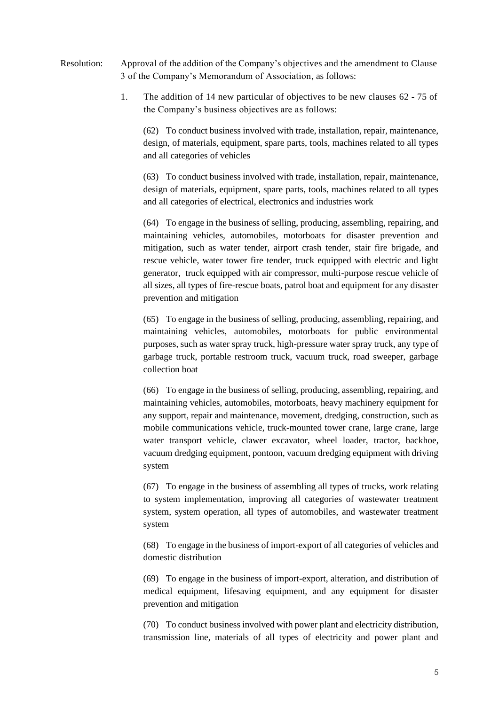- Resolution: Approval of the addition of the Company's objectives and the amendment to Clause 3 of the Company's Memorandum of Association, as follows:
	- 1. The addition of 14 new particular of objectives to be new clauses 62 75 of the Company's business objectives are as follows:

(62) To conduct business involved with trade, installation, repair, maintenance, design, of materials, equipment, spare parts, tools, machines related to all types and all categories of vehicles

(63) To conduct business involved with trade, installation, repair, maintenance, design of materials, equipment, spare parts, tools, machines related to all types and all categories of electrical, electronics and industries work

(64) To engage in the business of selling, producing, assembling, repairing, and maintaining vehicles, automobiles, motorboats for disaster prevention and mitigation, such as water tender, airport crash tender, stair fire brigade, and rescue vehicle, water tower fire tender, truck equipped with electric and light generator, truck equipped with air compressor, multi-purpose rescue vehicle of all sizes, all types of fire-rescue boats, patrol boat and equipment for any disaster prevention and mitigation

(65) To engage in the business of selling, producing, assembling, repairing, and maintaining vehicles, automobiles, motorboats for public environmental purposes, such as water spray truck, high-pressure water spray truck, any type of garbage truck, portable restroom truck, vacuum truck, road sweeper, garbage collection boat

(66) To engage in the business of selling, producing, assembling, repairing, and maintaining vehicles, automobiles, motorboats, heavy machinery equipment for any support, repair and maintenance, movement, dredging, construction, such as mobile communications vehicle, truck-mounted tower crane, large crane, large water transport vehicle, clawer excavator, wheel loader, tractor, backhoe, vacuum dredging equipment, pontoon, vacuum dredging equipment with driving system

(67) To engage in the business of assembling all types of trucks, work relating to system implementation, improving all categories of wastewater treatment system, system operation, all types of automobiles, and wastewater treatment system

(68) To engage in the business of import-export of all categories of vehicles and domestic distribution

(69) To engage in the business of import-export, alteration, and distribution of medical equipment, lifesaving equipment, and any equipment for disaster prevention and mitigation

(70) To conduct business involved with power plant and electricity distribution, transmission line, materials of all types of electricity and power plant and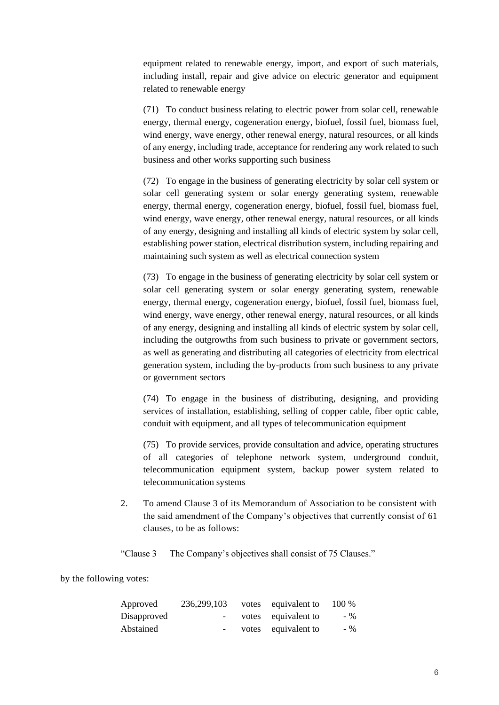equipment related to renewable energy, import, and export of such materials, including install, repair and give advice on electric generator and equipment related to renewable energy

(71) To conduct business relating to electric power from solar cell, renewable energy, thermal energy, cogeneration energy, biofuel, fossil fuel, biomass fuel, wind energy, wave energy, other renewal energy, natural resources, or all kinds of any energy, including trade, acceptance for rendering any work related to such business and other works supporting such business

(72) To engage in the business of generating electricity by solar cell system or solar cell generating system or solar energy generating system, renewable energy, thermal energy, cogeneration energy, biofuel, fossil fuel, biomass fuel, wind energy, wave energy, other renewal energy, natural resources, or all kinds of any energy, designing and installing all kinds of electric system by solar cell, establishing power station, electrical distribution system, including repairing and maintaining such system as well as electrical connection system

(73) To engage in the business of generating electricity by solar cell system or solar cell generating system or solar energy generating system, renewable energy, thermal energy, cogeneration energy, biofuel, fossil fuel, biomass fuel, wind energy, wave energy, other renewal energy, natural resources, or all kinds of any energy, designing and installing all kinds of electric system by solar cell, including the outgrowths from such business to private or government sectors, as well as generating and distributing all categories of electricity from electrical generation system, including the by-products from such business to any private or government sectors

(74) To engage in the business of distributing, designing, and providing services of installation, establishing, selling of copper cable, fiber optic cable, conduit with equipment, and all types of telecommunication equipment

(75) To provide services, provide consultation and advice, operating structures of all categories of telephone network system, underground conduit, telecommunication equipment system, backup power system related to telecommunication systems

2. To amend Clause 3 of its Memorandum of Association to be consistent with the said amendment of the Company's objectives that currently consist of 61 clauses, to be as follows:

"Clause 3 The Company's objectives shall consist of 75 Clauses."

by the following votes:

| 236,299,103      |  | 100 %                                                             |
|------------------|--|-------------------------------------------------------------------|
| $\sim$ 100 $\mu$ |  | $-$ %                                                             |
| $\sim$           |  | $-$ %                                                             |
|                  |  | votes equivalent to<br>votes equivalent to<br>votes equivalent to |